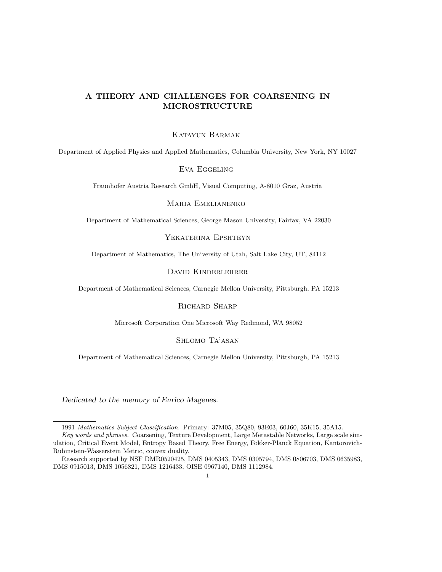# A THEORY AND CHALLENGES FOR COARSENING IN MICROSTRUCTURE

# Katayun Barmak

Department of Applied Physics and Applied Mathematics, Columbia University, New York, NY 10027

Eva Eggeling

Fraunhofer Austria Research GmbH, Visual Computing, A-8010 Graz, Austria

Maria Emelianenko

Department of Mathematical Sciences, George Mason University, Fairfax, VA 22030

# Yekaterina Epshteyn

Department of Mathematics, The University of Utah, Salt Lake City, UT, 84112

## David Kinderlehrer

Department of Mathematical Sciences, Carnegie Mellon University, Pittsburgh, PA 15213

# RICHARD SHARP

Microsoft Corporation One Microsoft Way Redmond, WA 98052

## Shlomo Ta'asan

Department of Mathematical Sciences, Carnegie Mellon University, Pittsburgh, PA 15213

*Dedicated to the memory of Enrico Magenes.*

<sup>1991</sup> Mathematics Subject Classification. Primary: 37M05, 35Q80, 93E03, 60J60, 35K15, 35A15. Key words and phrases. Coarsening, Texture Development, Large Metastable Networks, Large scale simulation, Critical Event Model, Entropy Based Theory, Free Energy, Fokker-Planck Equation, Kantorovich-

Rubinstein-Wasserstein Metric, convex duality.

Research supported by NSF DMR0520425, DMS 0405343, DMS 0305794, DMS 0806703, DMS 0635983, DMS 0915013, DMS 1056821, DMS 1216433, OISE 0967140, DMS 1112984.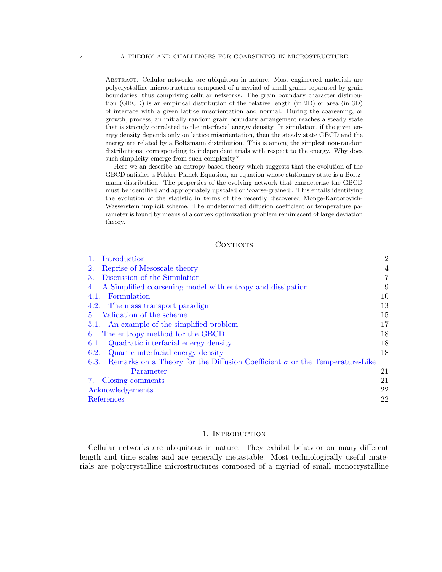Abstract. Cellular networks are ubiquitous in nature. Most engineered materials are polycrystalline microstructures composed of a myriad of small grains separated by grain boundaries, thus comprising cellular networks. The grain boundary character distribution (GBCD) is an empirical distribution of the relative length (in 2D) or area (in 3D) of interface with a given lattice misorientation and normal. During the coarsening, or growth, process, an initially random grain boundary arrangement reaches a steady state that is strongly correlated to the interfacial energy density. In simulation, if the given energy density depends only on lattice misorientation, then the steady state GBCD and the energy are related by a Boltzmann distribution. This is among the simplest non-random distributions, corresponding to independent trials with respect to the energy. Why does such simplicity emerge from such complexity?

Here we an describe an entropy based theory which suggests that the evolution of the GBCD satisfies a Fokker-Planck Equation, an equation whose stationary state is a Boltzmann distribution. The properties of the evolving network that characterize the GBCD must be identified and appropriately upscaled or 'coarse-grained'. This entails identifying the evolution of the statistic in terms of the recently discovered Monge-Kantorovich-Wasserstein implicit scheme. The undetermined diffusion coefficient or temperature parameter is found by means of a convex optimization problem reminiscent of large deviation theory.

#### **CONTENTS**

| Introduction                                                                            | $\overline{2}$ |
|-----------------------------------------------------------------------------------------|----------------|
| Reprise of Mesoscale theory<br>2.                                                       | $\overline{4}$ |
| Discussion of the Simulation<br>3.                                                      | 7              |
| A Simplified coarsening model with entropy and dissipation<br>4.                        | 9              |
| Formulation<br>4.1.                                                                     | 10             |
| 4.2. The mass transport paradigm                                                        | 13             |
| 5. Validation of the scheme                                                             | 15             |
| 5.1. An example of the simplified problem                                               | 17             |
| The entropy method for the GBCD<br>6.                                                   | 18             |
| Quadratic interfacial energy density<br>6.1.                                            | 18             |
| Quartic interfacial energy density<br>6.2.                                              | 18             |
| 6.3. Remarks on a Theory for the Diffusion Coefficient $\sigma$ or the Temperature-Like |                |
| Parameter                                                                               | 21             |
| Closing comments<br>7.                                                                  | 21             |
| Acknowledgements                                                                        | 22             |
| References                                                                              | 22             |

# 1. INTRODUCTION

<span id="page-1-0"></span>Cellular networks are ubiquitous in nature. They exhibit behavior on many different length and time scales and are generally metastable. Most technologically useful materials are polycrystalline microstructures composed of a myriad of small monocrystalline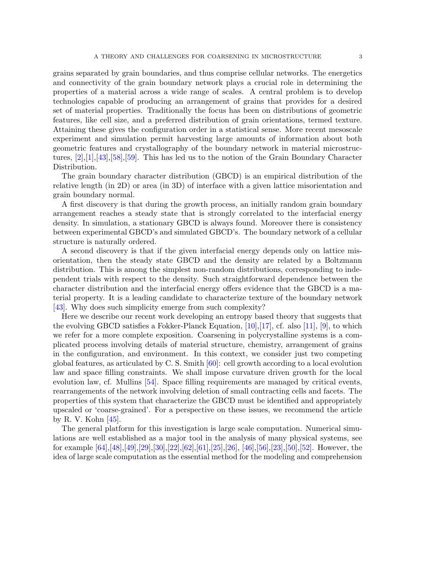grains separated by grain boundaries, and thus comprise cellular networks. The energetics and connectivity of the grain boundary network plays a crucial role in determining the properties of a material across a wide range of scales. A central problem is to develop technologies capable of producing an arrangement of grains that provides for a desired set of material properties. Traditionally the focus has been on distributions of geometric features, like cell size, and a preferred distribution of grain orientations, termed texture. Attaining these gives the configuration order in a statistical sense. More recent mesoscale experiment and simulation permit harvesting large amounts of information about both geometric features and crystallography of the boundary network in material microstructures, [\[2\]](#page-21-2),[\[1\]](#page-21-3),[\[43\]](#page-23-0),[\[58\]](#page-24-0),[\[59\]](#page-24-1). This has led us to the notion of the Grain Boundary Character Distribution.

The grain boundary character distribution (GBCD) is an empirical distribution of the relative length (in 2D) or area (in 3D) of interface with a given lattice misorientation and grain boundary normal.

A first discovery is that during the growth process, an initially random grain boundary arrangement reaches a steady state that is strongly correlated to the interfacial energy density. In simulation, a stationary GBCD is always found. Moreover there is consistency between experimental GBCD's and simulated GBCD's. The boundary network of a cellular structure is naturally ordered.

A second discovery is that if the given interfacial energy depends only on lattice misorientation, then the steady state GBCD and the density are related by a Boltzmann distribution. This is among the simplest non-random distributions, corresponding to independent trials with respect to the density. Such straightforward dependence between the character distribution and the interfacial energy offers evidence that the GBCD is a material property. It is a leading candidate to characterize texture of the boundary network [\[43\]](#page-23-0). Why does such simplicity emerge from such complexity?

Here we describe our recent work developing an entropy based theory that suggests that the evolving GBCD satisfies a Fokker-Planck Equation,  $[10]$ ,  $[17]$ , cf. also  $[11]$ ,  $[9]$ , to which we refer for a more complete exposition. Coarsening in polycrystalline systems is a complicated process involving details of material structure, chemistry, arrangement of grains in the configuration, and environment. In this context, we consider just two competing global features, as articulated by C. S. Smith [\[60\]](#page-24-2): cell growth according to a local evolution law and space filling constraints. We shall impose curvature driven growth for the local evolution law, cf. Mullins [\[54\]](#page-24-3). Space filling requirements are managed by critical events, rearrangements of the network involving deletion of small contracting cells and facets. The properties of this system that characterize the GBCD must be identified and appropriately upscaled or 'coarse-grained'. For a perspective on these issues, we recommend the article by R. V. Kohn [\[45\]](#page-23-1).

The general platform for this investigation is large scale computation. Numerical simulations are well established as a major tool in the analysis of many physical systems, see for example [\[64\]](#page-24-4),[\[48\]](#page-23-2),[\[49\]](#page-23-3),[\[29\]](#page-22-3),[\[30\]](#page-23-4),[\[22\]](#page-22-4),[\[62\]](#page-24-5),[\[61\]](#page-24-6),[\[25\]](#page-22-5),[\[26\]](#page-22-6), [\[46\]](#page-23-5),[\[56\]](#page-24-7),[\[23\]](#page-22-7),[\[50\]](#page-23-6),[\[52\]](#page-23-7). However, the idea of large scale computation as the essential method for the modeling and comprehension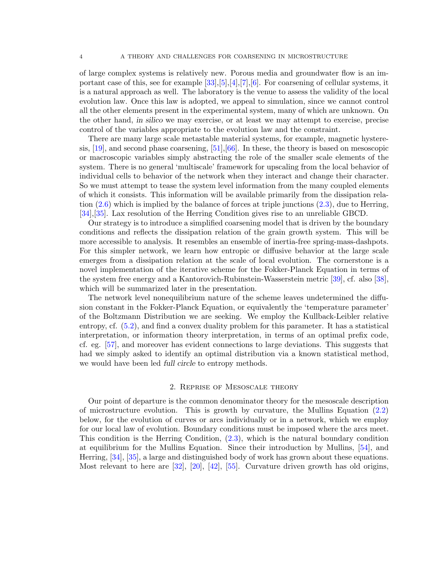of large complex systems is relatively new. Porous media and groundwater flow is an important case of this, see for example  $[33],[5],[4],[7],[6]$  $[33],[5],[4],[7],[6]$  $[33],[5],[4],[7],[6]$  $[33],[5],[4],[7],[6]$  $[33],[5],[4],[7],[6]$  $[33],[5],[4],[7],[6]$  $[33],[5],[4],[7],[6]$  $[33],[5],[4],[7],[6]$  $[33],[5],[4],[7],[6]$ . For coarsening of cellular systems, it is a natural approach as well. The laboratory is the venue to assess the validity of the local evolution law. Once this law is adopted, we appeal to simulation, since we cannot control all the other elements present in the experimental system, many of which are unknown. On the other hand, *in silico* we may exercise, or at least we may attempt to exercise, precise control of the variables appropriate to the evolution law and the constraint.

There are many large scale metastable material systems, for example, magnetic hysteresis,  $[19]$ , and second phase coarsening,  $[51]$ ,  $[66]$ . In these, the theory is based on mesoscopic or macroscopic variables simply abstracting the role of the smaller scale elements of the system. There is no general 'multiscale' framework for upscaling from the local behavior of individual cells to behavior of the network when they interact and change their character. So we must attempt to tease the system level information from the many coupled elements of which it consists. This information will be available primarily from the dissipation relation [\(2.6\)](#page-5-0) which is implied by the balance of forces at triple junctions [\(2.3\)](#page-4-0), due to Herring, [\[34\]](#page-23-10),[\[35\]](#page-23-11). Lax resolution of the Herring Condition gives rise to an unreliable GBCD.

Our strategy is to introduce a simplified coarsening model that is driven by the boundary conditions and reflects the dissipation relation of the grain growth system. This will be more accessible to analysis. It resembles an ensemble of inertia-free spring-mass-dashpots. For this simpler network, we learn how entropic or diffusive behavior at the large scale emerges from a dissipation relation at the scale of local evolution. The cornerstone is a novel implementation of the iterative scheme for the Fokker-Planck Equation in terms of the system free energy and a Kantorovich-Rubinstein-Wasserstein metric [\[39\]](#page-23-12), cf. also [\[38\]](#page-23-13), which will be summarized later in the presentation.

The network level nonequilibrium nature of the scheme leaves undetermined the diffusion constant in the Fokker-Planck Equation, or equivalently the 'temperature parameter' of the Boltzmann Distribution we are seeking. We employ the Kullback-Leibler relative entropy, cf. [\(5.2\)](#page-15-0), and find a convex duality problem for this parameter. It has a statistical interpretation, or information theory interpretation, in terms of an optimal prefix code, cf. eg. [\[57\]](#page-24-9), and moreover has evident connections to large deviations. This suggests that had we simply asked to identify an optimal distribution via a known statistical method, we would have been led *full circle* to entropy methods.

## 2. Reprise of Mesoscale theory

<span id="page-3-0"></span>Our point of departure is the common denominator theory for the mesoscale description of microstructure evolution. This is growth by curvature, the Mullins Equation [\(2.2\)](#page-4-1) below, for the evolution of curves or arcs individually or in a network, which we employ for our local law of evolution. Boundary conditions must be imposed where the arcs meet. This condition is the Herring Condition, [\(2.3\)](#page-4-0), which is the natural boundary condition at equilibrium for the Mullins Equation. Since their introduction by Mullins, [\[54\]](#page-24-3), and Herring, [\[34\]](#page-23-10), [\[35\]](#page-23-11), a large and distinguished body of work has grown about these equations. Most relevant to here are [\[32\]](#page-23-14), [\[20\]](#page-22-9), [\[42\]](#page-23-15), [\[55\]](#page-24-10). Curvature driven growth has old origins,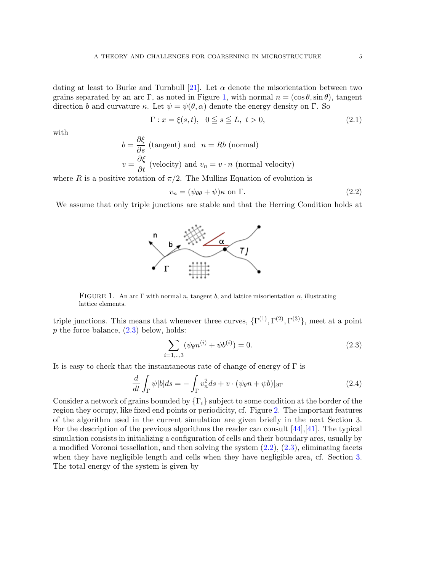dating at least to Burke and Turnbull [\[21\]](#page-22-10). Let  $\alpha$  denote the misorientation between two grains separated by an arc Γ, as noted in Figure [1,](#page-4-2) with normal  $n = (\cos \theta, \sin \theta)$ , tangent direction b and curvature κ. Let  $\psi = \psi(\theta, \alpha)$  denote the energy density on Γ. So

$$
\Gamma: x = \xi(s, t), \ \ 0 \le s \le L, \ t > 0,
$$
\n(2.1)

with

$$
b = \frac{\partial \xi}{\partial s}
$$
 (tangent) and  $n = Rb$  (normal)  

$$
v = \frac{\partial \xi}{\partial t}
$$
 (velocity) and  $v_n = v \cdot n$  (normal velocity)

where R is a positive rotation of  $\pi/2$ . The Mullins Equation of evolution is

<span id="page-4-1"></span>
$$
v_n = (\psi_{\theta\theta} + \psi)\kappa \text{ on } \Gamma. \tag{2.2}
$$

We assume that only triple junctions are stable and that the Herring Condition holds at



<span id="page-4-2"></span>FIGURE 1. An arc Γ with normal n, tangent b, and lattice misorientation  $\alpha$ , illustrating lattice elements.

triple junctions. This means that whenever three curves,  $\{\Gamma^{(1)}, \Gamma^{(2)}, \Gamma^{(3)}\}$ , meet at a point  $p$  the force balance,  $(2.3)$  below, holds:

<span id="page-4-0"></span>
$$
\sum_{i=1,\dots,3} (\psi_{\theta} n^{(i)} + \psi b^{(i)}) = 0.
$$
\n(2.3)

It is easy to check that the instantaneous rate of change of energy of  $\Gamma$  is

$$
\frac{d}{dt} \int_{\Gamma} \psi |b| ds = - \int_{\Gamma} v_n^2 ds + v \cdot (\psi_{\theta} n + \psi b)|_{\partial \Gamma}
$$
\n(2.4)

Consider a network of grains bounded by  $\{\Gamma_i\}$  subject to some condition at the border of the region they occupy, like fixed end points or periodicity, cf. Figure [2.](#page-5-1) The important features of the algorithm used in the current simulation are given briefly in the next Section 3. For the description of the previous algorithms the reader can consult [\[44\]](#page-23-16),[\[41\]](#page-23-17). The typical simulation consists in initializing a configuration of cells and their boundary arcs, usually by a modified Voronoi tessellation, and then solving the system  $(2.2)$ ,  $(2.3)$ , eliminating facets when they have negligible length and cells when they have negligible area, cf. Section [3.](#page-6-0) The total energy of the system is given by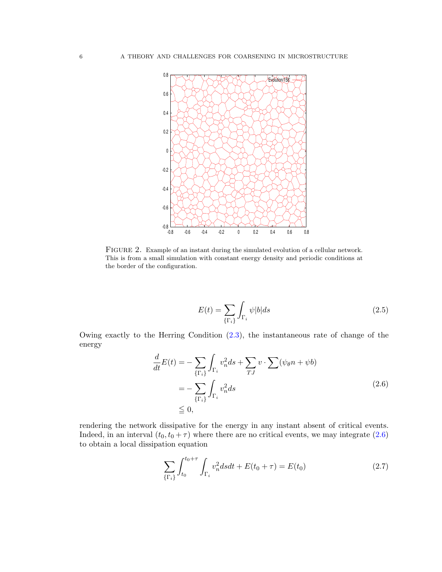

<span id="page-5-1"></span>FIGURE 2. Example of an instant during the simulated evolution of a cellular network. This is from a small simulation with constant energy density and periodic conditions at the border of the configuration.

$$
E(t) = \sum_{\{\Gamma_i\}} \int_{\Gamma_i} \psi |b| ds \tag{2.5}
$$

Owing exactly to the Herring Condition [\(2.3\)](#page-4-0), the instantaneous rate of change of the energy

<span id="page-5-0"></span>
$$
\frac{d}{dt}E(t) = -\sum_{\{\Gamma_i\}} \int_{\Gamma_i} v_n^2 ds + \sum_{TJ} v \cdot \sum (\psi_{\theta} n + \psi b)
$$

$$
= -\sum_{\{\Gamma_i\}} \int_{\Gamma_i} v_n^2 ds
$$

$$
\leq 0,
$$
\n(2.6)

rendering the network dissipative for the energy in any instant absent of critical events. Indeed, in an interval  $(t_0, t_0 + \tau)$  where there are no critical events, we may integrate [\(2.6\)](#page-5-0) to obtain a local dissipation equation

<span id="page-5-2"></span>
$$
\sum_{\{\Gamma_i\}} \int_{t_0}^{t_0+\tau} \int_{\Gamma_i} v_n^2 ds dt + E(t_0 + \tau) = E(t_0)
$$
\n(2.7)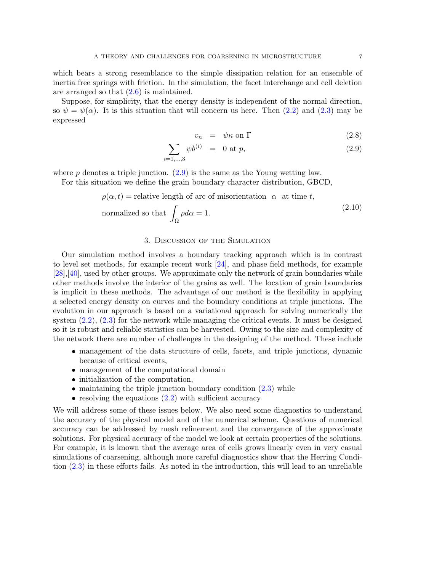which bears a strong resemblance to the simple dissipation relation for an ensemble of inertia free springs with friction. In the simulation, the facet interchange and cell deletion are arranged so that  $(2.6)$  is maintained.

Suppose, for simplicity, that the energy density is independent of the normal direction, so  $\psi = \psi(\alpha)$ . It is this situation that will concern us here. Then [\(2.2\)](#page-4-1) and [\(2.3\)](#page-4-0) may be expressed

<span id="page-6-1"></span>
$$
v_n = \psi \kappa \text{ on } \Gamma \tag{2.8}
$$

$$
\sum_{i=1,\dots,3} \psi b^{(i)} = 0 \text{ at } p,\tag{2.9}
$$

where  $p$  denotes a triple junction.  $(2.9)$  is the same as the Young wetting law.

For this situation we define the grain boundary character distribution, GBCD,

$$
\rho(\alpha, t) = \text{relative length of arc of misorientation } \alpha \text{ at time } t,
$$
\n
$$
\text{normalized so that } \int_{\Omega} \rho d\alpha = 1.
$$
\n(2.10)

## 3. Discussion of the Simulation

<span id="page-6-0"></span>Our simulation method involves a boundary tracking approach which is in contrast to level set methods, for example recent work [\[24\]](#page-22-11), and phase field methods, for example [\[28\]](#page-22-12),[\[40\]](#page-23-18), used by other groups. We approximate only the network of grain boundaries while other methods involve the interior of the grains as well. The location of grain boundaries is implicit in these methods. The advantage of our method is the flexibility in applying a selected energy density on curves and the boundary conditions at triple junctions. The evolution in our approach is based on a variational approach for solving numerically the system  $(2.2)$ ,  $(2.3)$  for the network while managing the critical events. It must be designed so it is robust and reliable statistics can be harvested. Owing to the size and complexity of the network there are number of challenges in the designing of the method. These include

- management of the data structure of cells, facets, and triple junctions, dynamic because of critical events,
- management of the computational domain
- initialization of the computation,
- maintaining the triple junction boundary condition  $(2.3)$  while
- resolving the equations  $(2.2)$  with sufficient accuracy

We will address some of these issues below. We also need some diagnostics to understand the accuracy of the physical model and of the numerical scheme. Questions of numerical accuracy can be addressed by mesh refinement and the convergence of the approximate solutions. For physical accuracy of the model we look at certain properties of the solutions. For example, it is known that the average area of cells grows linearly even in very casual simulations of coarsening, although more careful diagnostics show that the Herring Condition [\(2.3\)](#page-4-0) in these efforts fails. As noted in the introduction, this will lead to an unreliable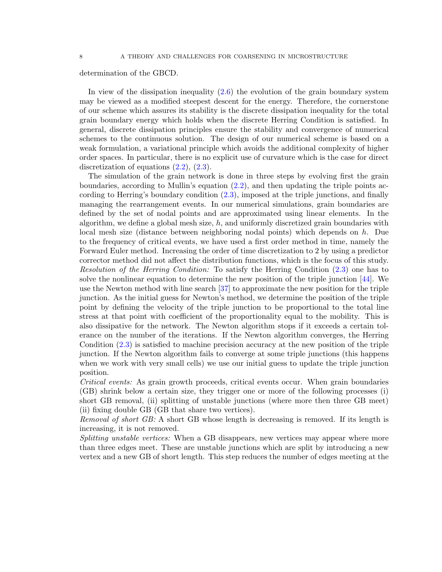determination of the GBCD.

In view of the dissipation inequality  $(2.6)$  the evolution of the grain boundary system may be viewed as a modified steepest descent for the energy. Therefore, the cornerstone of our scheme which assures its stability is the discrete dissipation inequality for the total grain boundary energy which holds when the discrete Herring Condition is satisfied. In general, discrete dissipation principles ensure the stability and convergence of numerical schemes to the continuous solution. The design of our numerical scheme is based on a weak formulation, a variational principle which avoids the additional complexity of higher order spaces. In particular, there is no explicit use of curvature which is the case for direct discretization of equations  $(2.2)$ ,  $(2.3)$ .

The simulation of the grain network is done in three steps by evolving first the grain boundaries, according to Mullin's equation [\(2.2\)](#page-4-1), and then updating the triple points according to Herring's boundary condition [\(2.3\)](#page-4-0), imposed at the triple junctions, and finally managing the rearrangement events. In our numerical simulations, grain boundaries are defined by the set of nodal points and are approximated using linear elements. In the algorithm, we define a global mesh size,  $h$ , and uniformly discretized grain boundaries with local mesh size (distance between neighboring nodal points) which depends on h. Due to the frequency of critical events, we have used a first order method in time, namely the Forward Euler method. Increasing the order of time discretization to 2 by using a predictor corrector method did not affect the distribution functions, which is the focus of this study. *Resolution of the Herring Condition:* To satisfy the Herring Condition [\(2.3\)](#page-4-0) one has to solve the nonlinear equation to determine the new position of the triple junction [\[44\]](#page-23-16). We use the Newton method with line search [\[37\]](#page-23-19) to approximate the new position for the triple junction. As the initial guess for Newton's method, we determine the position of the triple point by defining the velocity of the triple junction to be proportional to the total line stress at that point with coefficient of the proportionality equal to the mobility. This is also dissipative for the network. The Newton algorithm stops if it exceeds a certain tolerance on the number of the iterations. If the Newton algorithm converges, the Herring Condition [\(2.3\)](#page-4-0) is satisfied to machine precision accuracy at the new position of the triple junction. If the Newton algorithm fails to converge at some triple junctions (this happens when we work with very small cells) we use our initial guess to update the triple junction position.

*Critical events:* As grain growth proceeds, critical events occur. When grain boundaries (GB) shrink below a certain size, they trigger one or more of the following processes (i) short GB removal, (ii) splitting of unstable junctions (where more then three GB meet) (ii) fixing double GB (GB that share two vertices).

*Removal of short GB:* A short GB whose length is decreasing is removed. If its length is increasing, it is not removed.

*Splitting unstable vertices:* When a GB disappears, new vertices may appear where more than three edges meet. These are unstable junctions which are split by introducing a new vertex and a new GB of short length. This step reduces the number of edges meeting at the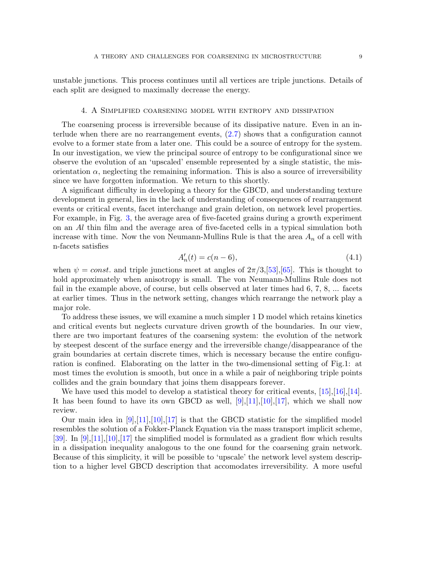unstable junctions. This process continues until all vertices are triple junctions. Details of each split are designed to maximally decrease the energy.

## 4. A Simplified coarsening model with entropy and dissipation

<span id="page-8-0"></span>The coarsening process is irreversible because of its dissipative nature. Even in an interlude when there are no rearrangement events, [\(2.7\)](#page-5-2) shows that a configuration cannot evolve to a former state from a later one. This could be a source of entropy for the system. In our investigation, we view the principal source of entropy to be configurational since we observe the evolution of an 'upscaled' ensemble represented by a single statistic, the misorientation  $\alpha$ , neglecting the remaining information. This is also a source of irreversibility since we have forgotten information. We return to this shortly.

A significant difficulty in developing a theory for the GBCD, and understanding texture development in general, lies in the lack of understanding of consequences of rearrangement events or critical events, facet interchange and grain deletion, on network level properties. For example, in Fig. [3,](#page-9-1) the average area of five-faceted grains during a growth experiment on an Al thin film and the average area of five-faceted cells in a typical simulation both increase with time. Now the von Neumann-Mullins Rule is that the area  $A_n$  of a cell with n-facets satisfies

<span id="page-8-1"></span>
$$
A'_n(t) = c(n-6),
$$
\n(4.1)

when  $\psi = const.$  and triple junctions meet at angles of  $2\pi/3,53$ , [55]. This is thought to hold approximately when anisotropy is small. The von Neumann-Mullins Rule does not fail in the example above, of course, but cells observed at later times had 6, 7, 8, ... facets at earlier times. Thus in the network setting, changes which rearrange the network play a major role.

To address these issues, we will examine a much simpler 1 D model which retains kinetics and critical events but neglects curvature driven growth of the boundaries. In our view, there are two important features of the coarsening system: the evolution of the network by steepest descent of the surface energy and the irreversible change/disappearance of the grain boundaries at certain discrete times, which is necessary because the entire configuration is confined. Elaborating on the latter in the two-dimensional setting of Fig.1: at most times the evolution is smooth, but once in a while a pair of neighboring triple points collides and the grain boundary that joins them disappears forever.

We have used this model to develop a statistical theory for critical events, [\[15\]](#page-22-13),[\[16\]](#page-22-14),[\[14\]](#page-22-15). It has been found to have its own GBCD as well,  $[9], [11], [10], [17]$  $[9], [11], [10], [17]$  $[9], [11], [10], [17]$  $[9], [11], [10], [17]$  $[9], [11], [10], [17]$  $[9], [11], [10], [17]$  $[9], [11], [10], [17]$ , which we shall now review.

Our main idea in  $[9], [11], [10], [17]$  $[9], [11], [10], [17]$  $[9], [11], [10], [17]$  $[9], [11], [10], [17]$  $[9], [11], [10], [17]$  $[9], [11], [10], [17]$  $[9], [11], [10], [17]$  is that the GBCD statistic for the simplified model resembles the solution of a Fokker-Planck Equation via the mass transport implicit scheme, [\[39\]](#page-23-12). In [\[9\]](#page-21-4),[\[11\]](#page-22-2),[\[10\]](#page-22-0),[\[17\]](#page-22-1) the simplified model is formulated as a gradient flow which results in a dissipation inequality analogous to the one found for the coarsening grain network. Because of this simplicity, it will be possible to 'upscale' the network level system description to a higher level GBCD description that accomodates irreversibility. A more useful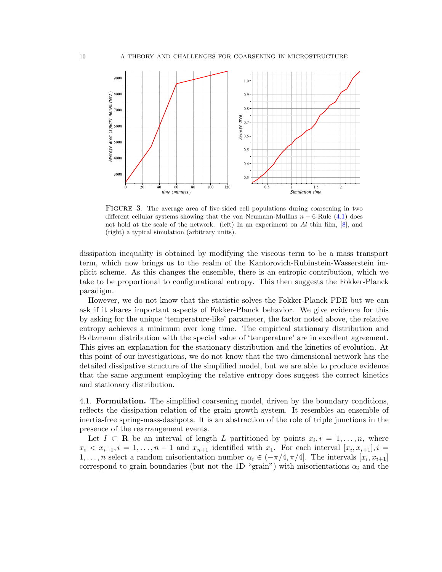

<span id="page-9-1"></span>FIGURE 3. The average area of five-sided cell populations during coarsening in two different cellular systems showing that the von Neumann-Mullins  $n - 6$ -Rule [\(4.1\)](#page-8-1) does not hold at the scale of the network. (left) In an experiment on Al thin film,  $[8]$ , and (right) a typical simulation (arbitrary units).

dissipation inequality is obtained by modifying the viscous term to be a mass transport term, which now brings us to the realm of the Kantorovich-Rubinstein-Wasserstein implicit scheme. As this changes the ensemble, there is an entropic contribution, which we take to be proportional to configurational entropy. This then suggests the Fokker-Planck paradigm.

However, we do not know that the statistic solves the Fokker-Planck PDE but we can ask if it shares important aspects of Fokker-Planck behavior. We give evidence for this by asking for the unique 'temperature-like' parameter, the factor noted above, the relative entropy achieves a minimum over long time. The empirical stationary distribution and Boltzmann distribution with the special value of 'temperature' are in excellent agreement. This gives an explanation for the stationary distribution and the kinetics of evolution. At this point of our investigations, we do not know that the two dimensional network has the detailed dissipative structure of the simplified model, but we are able to produce evidence that the same argument employing the relative entropy does suggest the correct kinetics and stationary distribution.

<span id="page-9-0"></span>4.1. **Formulation.** The simplified coarsening model, driven by the boundary conditions, reflects the dissipation relation of the grain growth system. It resembles an ensemble of inertia-free spring-mass-dashpots. It is an abstraction of the role of triple junctions in the presence of the rearrangement events.

Let  $I \subset \mathbf{R}$  be an interval of length L partitioned by points  $x_i, i = 1, \ldots, n$ , where  $x_i < x_{i+1}, i = 1, \ldots, n-1$  and  $x_{n+1}$  identified with  $x_1$ . For each interval  $[x_i, x_{i+1}], i =$ 1,...,n select a random misorientation number  $\alpha_i \in (-\pi/4, \pi/4]$ . The intervals  $[x_i, x_{i+1}]$ correspond to grain boundaries (but not the 1D "grain") with misorientations  $\alpha_i$  and the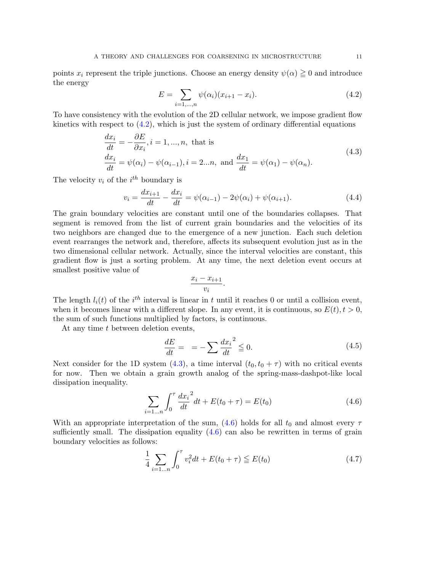points  $x_i$  represent the triple junctions. Choose an energy density  $\psi(\alpha) \geq 0$  and introduce the energy

<span id="page-10-0"></span>
$$
E = \sum_{i=1,\dots,n} \psi(\alpha_i)(x_{i+1} - x_i). \tag{4.2}
$$

To have consistency with the evolution of the 2D cellular network, we impose gradient flow kinetics with respect to  $(4.2)$ , which is just the system of ordinary differential equations

<span id="page-10-1"></span>
$$
\frac{dx_i}{dt} = -\frac{\partial E}{\partial x_i}, i = 1, ..., n, \text{ that is}
$$
\n
$$
\frac{dx_i}{dt} = \psi(\alpha_i) - \psi(\alpha_{i-1}), i = 2...n, \text{ and } \frac{dx_1}{dt} = \psi(\alpha_1) - \psi(\alpha_n).
$$
\n(4.3)

The velocity  $v_i$  of the  $i^{th}$  boundary is

$$
v_i = \frac{dx_{i+1}}{dt} - \frac{dx_i}{dt} = \psi(\alpha_{i-1}) - 2\psi(\alpha_i) + \psi(\alpha_{i+1}).
$$
\n(4.4)

The grain boundary velocities are constant until one of the boundaries collapses. That segment is removed from the list of current grain boundaries and the velocities of its two neighbors are changed due to the emergence of a new junction. Each such deletion event rearranges the network and, therefore, affects its subsequent evolution just as in the two dimensional cellular network. Actually, since the interval velocities are constant, this gradient flow is just a sorting problem. At any time, the next deletion event occurs at smallest positive value of

$$
\frac{x_i - x_{i+1}}{v_i}.
$$

The length  $l_i(t)$  of the i<sup>th</sup> interval is linear in t until it reaches 0 or until a collision event, when it becomes linear with a different slope. In any event, it is continuous, so  $E(t)$ ,  $t>0$ , the sum of such functions multiplied by factors, is continuous.

At any time t between deletion events,

$$
\frac{dE}{dt} = -\sum \frac{dx_i}{dt}^2 \le 0.
$$
\n(4.5)

Next consider for the 1D system [\(4.3\)](#page-10-1), a time interval  $(t_0, t_0 + \tau)$  with no critical events for now. Then we obtain a grain growth analog of the spring-mass-dashpot-like local dissipation inequality.

<span id="page-10-2"></span>
$$
\sum_{i=1...n} \int_0^\tau \frac{dx_i^2}{dt} dt + E(t_0 + \tau) = E(t_0)
$$
\n(4.6)

With an appropriate interpretation of the sum, [\(4.6\)](#page-10-2) holds for all  $t_0$  and almost every  $\tau$ sufficiently small. The dissipation equality  $(4.6)$  can also be rewritten in terms of grain boundary velocities as follows:

<span id="page-10-3"></span>
$$
\frac{1}{4} \sum_{i=1...n} \int_0^\tau v_i^2 dt + E(t_0 + \tau) \le E(t_0)
$$
\n(4.7)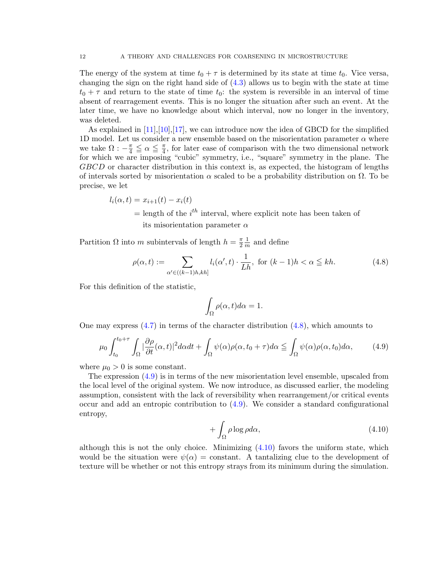The energy of the system at time  $t_0 + \tau$  is determined by its state at time  $t_0$ . Vice versa, changing the sign on the right hand side of [\(4.3\)](#page-10-1) allows us to begin with the state at time  $t_0 + \tau$  and return to the state of time  $t_0$ : the system is reversible in an interval of time absent of rearragement events. This is no longer the situation after such an event. At the later time, we have no knowledge about which interval, now no longer in the inventory, was deleted.

As explained in  $[11], [10], [17]$  $[11], [10], [17]$  $[11], [10], [17]$  $[11], [10], [17]$  $[11], [10], [17]$ , we can introduce now the idea of GBCD for the simplified 1D model. Let us consider a new ensemble based on the misorientation parameter  $\alpha$  where we take  $\Omega$  :  $-\frac{\pi}{4} \leq \alpha \leq \frac{\pi}{4}$ , for later ease of comparison with the two dimensional network for which we are imposing "cubic" symmetry, i.e., "square" symmetry in the plane. The GBCD or character distribution in this context is, as expected, the histogram of lengths of intervals sorted by misorientation  $\alpha$  scaled to be a probability distribution on  $\Omega$ . To be precise, we let

$$
l_i(\alpha, t) = x_{i+1}(t) - x_i(t)
$$

 $=$  length of the  $i<sup>th</sup>$  interval, where explicit note has been taken of its misorientation parameter  $\alpha$ 

Partition  $\Omega$  into m subintervals of length  $h = \frac{\pi}{2}$  $\frac{1}{m}$  and define

<span id="page-11-0"></span>
$$
\rho(\alpha, t) := \sum_{\alpha' \in ((k-1)h, kh]} l_i(\alpha', t) \cdot \frac{1}{Lh}, \text{ for } (k-1)h < \alpha \leq kh. \tag{4.8}
$$

For this definition of the statistic,

$$
\int_{\Omega} \rho(\alpha, t) d\alpha = 1.
$$

One may express [\(4.7\)](#page-10-3) in terms of the character distribution [\(4.8\)](#page-11-0), which amounts to

<span id="page-11-1"></span>
$$
\mu_0 \int_{t_0}^{t_0+\tau} \int_{\Omega} |\frac{\partial \rho}{\partial t}(\alpha, t)|^2 d\alpha dt + \int_{\Omega} \psi(\alpha) \rho(\alpha, t_0 + \tau) d\alpha \leq \int_{\Omega} \psi(\alpha) \rho(\alpha, t_0) d\alpha, \tag{4.9}
$$

where  $\mu_0 > 0$  is some constant.

The expression [\(4.9\)](#page-11-1) is in terms of the new misorientation level ensemble, upscaled from the local level of the original system. We now introduce, as discussed earlier, the modeling assumption, consistent with the lack of reversibility when rearrangement/or critical events occur and add an entropic contribution to [\(4.9\)](#page-11-1). We consider a standard configurational entropy,

<span id="page-11-2"></span>
$$
+\int_{\Omega}\rho\log\rho d\alpha,\tag{4.10}
$$

although this is not the only choice. Minimizing  $(4.10)$  favors the uniform state, which would be the situation were  $\psi(\alpha) = \text{constant}$ . A tantalizing clue to the development of texture will be whether or not this entropy strays from its minimum during the simulation.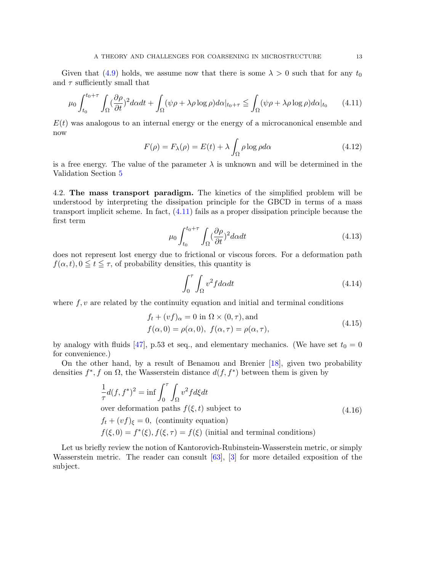Given that [\(4.9\)](#page-11-1) holds, we assume now that there is some  $\lambda > 0$  such that for any  $t_0$ and  $\tau$  sufficiently small that

<span id="page-12-1"></span>
$$
\mu_0 \int_{t_0}^{t_0+\tau} \int_{\Omega} (\frac{\partial \rho}{\partial t})^2 d\alpha dt + \int_{\Omega} (\psi \rho + \lambda \rho \log \rho) d\alpha |_{t_0+\tau} \leq \int_{\Omega} (\psi \rho + \lambda \rho \log \rho) d\alpha |_{t_0} \qquad (4.11)
$$

 $E(t)$  was analogous to an internal energy or the energy of a microcanonical ensemble and now

<span id="page-12-5"></span>
$$
F(\rho) = F_{\lambda}(\rho) = E(t) + \lambda \int_{\Omega} \rho \log \rho d\alpha \qquad (4.12)
$$

is a free energy. The value of the parameter  $\lambda$  is unknown and will be determined in the Validation Section [5](#page-14-0)

<span id="page-12-0"></span>4.2. The mass transport paradigm. The kinetics of the simplified problem will be understood by interpreting the dissipation principle for the GBCD in terms of a mass transport implicit scheme. In fact, [\(4.11\)](#page-12-1) fails as a proper dissipation principle because the first term

<span id="page-12-3"></span>
$$
\mu_0 \int_{t_0}^{t_0+\tau} \int_{\Omega} (\frac{\partial \rho}{\partial t})^2 d\alpha dt \tag{4.13}
$$

does not represent lost energy due to frictional or viscous forces. For a deformation path  $f(\alpha, t), 0 \le t \le \tau$ , of probability densities, this quantity is

<span id="page-12-4"></span>
$$
\int_0^\tau \int_\Omega v^2 f d\alpha dt \tag{4.14}
$$

where  $f, v$  are related by the continuity equation and initial and terminal conditions

$$
f_t + (vf)_{\alpha} = 0 \text{ in } \Omega \times (0, \tau), \text{ and}
$$
  

$$
f(\alpha, 0) = \rho(\alpha, 0), \ f(\alpha, \tau) = \rho(\alpha, \tau),
$$
 (4.15)

by analogy with fluids [\[47\]](#page-23-20), p.53 et seq., and elementary mechanics. (We have set  $t_0 = 0$ for convenience.)

On the other hand, by a result of Benamou and Brenier [\[18\]](#page-22-16), given two probability densities  $f^*, f$  on  $\Omega$ , the Wasserstein distance  $d(f, f^*)$  between them is given by

<span id="page-12-2"></span>
$$
\frac{1}{\tau}d(f, f^*)^2 = \inf \int_0^{\tau} \int_{\Omega} v^2 f d\xi dt
$$
\nover deformation paths  $f(\xi, t)$  subject to\n
$$
f_t + (vf)_{\xi} = 0, \text{ (continuity equation)}
$$
\n
$$
f(\xi, 0) = f^*(\xi), f(\xi, \tau) = f(\xi) \text{ (initial and terminal conditions)}
$$
\n(4.16)

Let us briefly review the notion of Kantorovich-Rubinstein-Wasserstein metric, or simply Wasserstein metric. The reader can consult [\[63\]](#page-24-13), [\[3\]](#page-21-10) for more detailed exposition of the subject.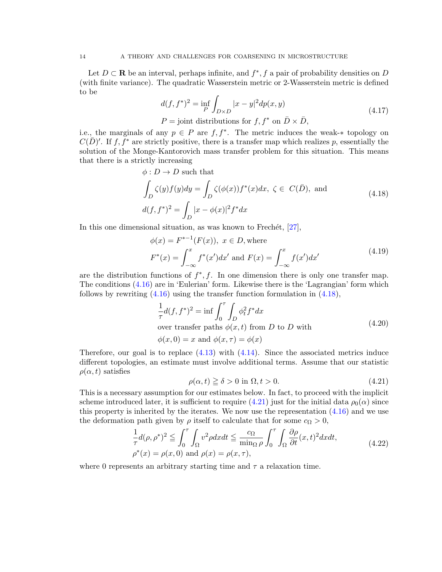Let  $D \subset \mathbf{R}$  be an interval, perhaps infinite, and  $f^*$ , f a pair of probability densities on D (with finite variance). The quadratic Wasserstein metric or 2-Wasserstein metric is defined to be

$$
d(f, f^*)^2 = \inf_P \int_{D \times D} |x - y|^2 dp(x, y)
$$
  
\n
$$
P = \text{joint distributions for } f, f^* \text{ on } \bar{D} \times \bar{D},
$$
\n(4.17)

i.e., the marginals of any  $p \in P$  are  $f, f^*$ . The metric induces the weak-\* topology on  $C(\bar{D})'$ . If f,  $\bar{f}^*$  are strictly positive, there is a transfer map which realizes p, essentially the solution of the Monge-Kantorovich mass transfer problem for this situation. This means that there is a strictly increasing

$$
\phi: D \to D \text{ such that}
$$

<span id="page-13-0"></span>
$$
\int_{D} \zeta(y)f(y)dy = \int_{D} \zeta(\phi(x))f^*(x)dx, \ \zeta \in C(\bar{D}), \text{ and}
$$
\n
$$
d(f, f^*)^2 = \int_{D} |x - \phi(x)|^2 f^* dx
$$
\n(4.18)

In this one dimensional situation, as was known to Frechét,  $[27]$ ,

$$
\phi(x) = F^{*-1}(F(x)), \ x \in D, \text{where}
$$
  

$$
F^*(x) = \int_{-\infty}^x f^*(x') dx' \text{ and } F(x) = \int_{-\infty}^x f(x') dx'
$$
 (4.19)

are the distribution functions of  $f^*, f$ . In one dimension there is only one transfer map. The conditions [\(4.16\)](#page-12-2) are in 'Eulerian' form. Likewise there is the 'Lagrangian' form which follows by rewriting  $(4.16)$  using the transfer function formulation in  $(4.18)$ ,

$$
\frac{1}{\tau}d(f, f^*)^2 = \inf \int_0^{\tau} \int_D \phi_t^2 f^* dx
$$
\nover transfer paths  $\phi(x, t)$  from *D* to *D* with\n
$$
\phi(x, 0) = x \text{ and } \phi(x, \tau) = \phi(x)
$$
\n(4.20)

Therefore, our goal is to replace  $(4.13)$  with  $(4.14)$ . Since the associated metrics induce different topologies, an estimate must involve additional terms. Assume that our statistic  $\rho(\alpha, t)$  satisfies

<span id="page-13-1"></span>
$$
\rho(\alpha, t) \ge \delta > 0 \text{ in } \Omega, t > 0. \tag{4.21}
$$

This is a necessary assumption for our estimates below. In fact, to proceed with the implicit scheme introduced later, it is sufficient to require [\(4.21\)](#page-13-1) just for the initial data  $\rho_0(\alpha)$  since this property is inherited by the iterates. We now use the representation [\(4.16\)](#page-12-2) and we use the deformation path given by  $\rho$  itself to calculate that for some  $c_{\Omega} > 0$ ,

$$
\frac{1}{\tau}d(\rho,\rho^*)^2 \le \int_0^{\tau} \int_{\Omega} v^2 \rho dx dt \le \frac{c_{\Omega}}{\min_{\Omega} \rho} \int_0^{\tau} \int_{\Omega} \frac{\partial \rho}{\partial t}(x,t)^2 dx dt, \rho^*(x) = \rho(x,0) \text{ and } \rho(x) = \rho(x,\tau),
$$
\n(4.22)

where 0 represents an arbitrary starting time and  $\tau$  a relaxation time.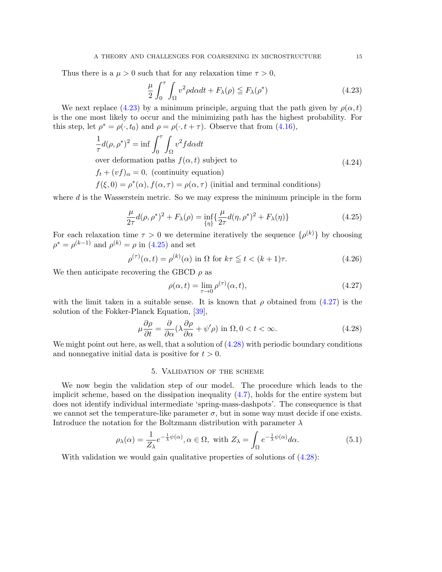Thus there is a  $\mu > 0$  such that for any relaxation time  $\tau > 0$ ,

<span id="page-14-1"></span>
$$
\frac{\mu}{2} \int_0^{\tau} \int_{\Omega} v^2 \rho d\alpha dt + F_{\lambda}(\rho) \leq F_{\lambda}(\rho^*)
$$
\n(4.23)

We next replace [\(4.23\)](#page-14-1) by a minimum principle, arguing that the path given by  $\rho(\alpha, t)$ is the one most likely to occur and the minimizing path has the highest probability. For this step, let  $\rho^* = \rho(\cdot, t_0)$  and  $\rho = \rho(\cdot, t + \tau)$ . Observe that from [\(4.16\)](#page-12-2),

$$
\frac{1}{\tau}d(\rho,\rho^*)^2 = \inf \int_0^{\tau} \int_{\Omega} v^2 f d\alpha dt
$$
  
over deformation paths  $f(\alpha, t)$  subject to (4.24)

 $f_t + (vf)_{\alpha} = 0$ , (continuity equation)  $f(\xi, 0) = \rho^*(\alpha)$ ,  $f(\alpha, \tau) = \rho(\alpha, \tau)$  (initial and terminal conditions)

where  $d$  is the Wasserstein metric. So we may express the minimum principle in the form

<span id="page-14-2"></span>
$$
\frac{\mu}{2\tau}d(\rho,\rho^*)^2 + F_{\lambda}(\rho) = \inf_{\{\eta\}} \{\frac{\mu}{2\tau}d(\eta,\rho^*)^2 + F_{\lambda}(\eta)\}
$$
(4.25)

For each relaxation time  $\tau > 0$  we determine iteratively the sequence  $\{\rho^{(k)}\}$  by choosing  $\rho^* = \rho^{(k-1)}$  and  $\rho^{(k)} = \rho$  in [\(4.25\)](#page-14-2) and set

$$
\rho^{(\tau)}(\alpha, t) = \rho^{(k)}(\alpha) \text{ in } \Omega \text{ for } k\tau \le t < (k+1)\tau. \tag{4.26}
$$

We then anticipate recovering the GBCD  $\rho$  as

<span id="page-14-3"></span>
$$
\rho(\alpha, t) = \lim_{\tau \to 0} \rho^{(\tau)}(\alpha, t), \tag{4.27}
$$

with the limit taken in a suitable sense. It is known that  $\rho$  obtained from [\(4.27\)](#page-14-3) is the solution of the Fokker-Planck Equation, [\[39\]](#page-23-12),

<span id="page-14-4"></span>
$$
\mu \frac{\partial \rho}{\partial t} = \frac{\partial}{\partial \alpha} (\lambda \frac{\partial \rho}{\partial \alpha} + \psi' \rho) \text{ in } \Omega, 0 < t < \infty.
$$
 (4.28)

We might point out here, as well, that a solution of  $(4.28)$  with periodic boundary conditions and nonnegative initial data is positive for  $t > 0$ .

# 5. Validation of the scheme

<span id="page-14-0"></span>We now begin the validation step of our model. The procedure which leads to the implicit scheme, based on the dissipation inequality [\(4.7\)](#page-10-3), holds for the entire system but does not identify individual intermediate 'spring-mass-dashpots'. The consequence is that we cannot set the temperature-like parameter  $\sigma$ , but in some way must decide if one exists. Introduce the notation for the Boltzmann distribution with parameter  $\lambda$ 

<span id="page-14-5"></span>
$$
\rho_{\lambda}(\alpha) = \frac{1}{Z_{\lambda}} e^{-\frac{1}{\lambda}\psi(\alpha)}, \alpha \in \Omega, \text{ with } Z_{\lambda} = \int_{\Omega} e^{-\frac{1}{\lambda}\psi(\alpha)} d\alpha.
$$
 (5.1)

With validation we would gain qualitative properties of solutions of  $(4.28)$ :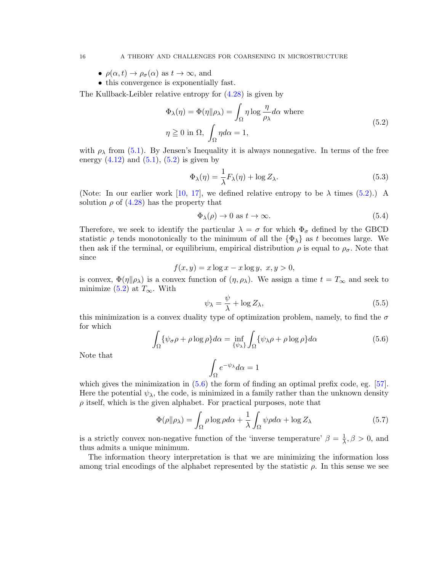- $\rho(\alpha, t) \to \rho_{\sigma}(\alpha)$  as  $t \to \infty$ , and
- this convergence is exponentially fast.

The Kullback-Leibler relative entropy for [\(4.28\)](#page-14-4) is given by

<span id="page-15-0"></span>
$$
\Phi_{\lambda}(\eta) = \Phi(\eta \| \rho_{\lambda}) = \int_{\Omega} \eta \log \frac{\eta}{\rho_{\lambda}} d\alpha \text{ where}
$$
  

$$
\eta \ge 0 \text{ in } \Omega, \int_{\Omega} \eta d\alpha = 1,
$$
 (5.2)

with  $\rho_{\lambda}$  from [\(5.1\)](#page-14-5). By Jensen's Inequality it is always nonnegative. In terms of the free energy  $(4.12)$  and  $(5.1)$ ,  $(5.2)$  is given by

$$
\Phi_{\lambda}(\eta) = \frac{1}{\lambda} F_{\lambda}(\eta) + \log Z_{\lambda}.
$$
\n(5.3)

(Note: In our earlier work [\[10,](#page-22-0) [17\]](#page-22-1), we defined relative entropy to be  $\lambda$  times [\(5.2\)](#page-15-0).) A solution  $\rho$  of [\(4.28\)](#page-14-4) has the property that

$$
\Phi_{\lambda}(\rho) \to 0 \text{ as } t \to \infty. \tag{5.4}
$$

Therefore, we seek to identify the particular  $\lambda = \sigma$  for which  $\Phi_{\sigma}$  defined by the GBCD statistic  $\rho$  tends monotonically to the minimum of all the  ${\{\Phi_{\lambda}\}}$  as t becomes large. We then ask if the terminal, or equilibrium, empirical distribution  $\rho$  is equal to  $\rho_{\sigma}$ . Note that since

$$
f(x,y) = x \log x - x \log y, \ x, y > 0,
$$

is convex,  $\Phi(\eta||\rho_{\lambda})$  is a convex function of  $(\eta, \rho_{\lambda})$ . We assign a time  $t = T_{\infty}$  and seek to minimize [\(5.2\)](#page-15-0) at  $T_{\infty}$ . With

$$
\psi_{\lambda} = \frac{\psi}{\lambda} + \log Z_{\lambda},\tag{5.5}
$$

this minimization is a convex duality type of optimization problem, namely, to find the  $\sigma$ for which

<span id="page-15-1"></span>
$$
\int_{\Omega} {\{\psi_{\sigma}\rho + \rho \log \rho\}} d\alpha = \inf_{\{\psi_{\lambda}\}} \int_{\Omega} {\{\psi_{\lambda}\rho + \rho \log \rho\}} d\alpha \tag{5.6}
$$

Note that

" Ω  $e^{-\psi_{\lambda}}d\alpha=1$ 

which gives the minimization in  $(5.6)$  the form of finding an optimal prefix code, eg.  $[57]$ . Here the potential  $\psi_{\lambda}$ , the code, is minimized in a family rather than the unknown density  $\rho$  itself, which is the given alphabet. For practical purposes, note that

<span id="page-15-2"></span>
$$
\Phi(\rho \| \rho_{\lambda}) = \int_{\Omega} \rho \log \rho d\alpha + \frac{1}{\lambda} \int_{\Omega} \psi \rho d\alpha + \log Z_{\lambda}
$$
\n(5.7)

is a strictly convex non-negative function of the 'inverse temperature'  $\beta = \frac{1}{\lambda}, \beta > 0$ , and thus admits a unique minimum.

The information theory interpretation is that we are minimizing the information loss among trial encodings of the alphabet represented by the statistic  $\rho$ . In this sense we see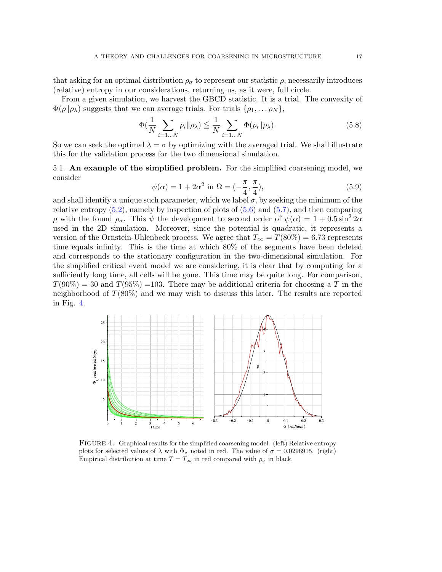that asking for an optimal distribution  $\rho_{\sigma}$  to represent our statistic  $\rho$ , necessarily introduces (relative) entropy in our considerations, returning us, as it were, full circle.

From a given simulation, we harvest the GBCD statistic. It is a trial. The convexity of  $\Phi(\rho||\rho_{\lambda})$  suggests that we can average trials. For trials  $\{\rho_1,\ldots\rho_N\},\$ 

$$
\Phi(\frac{1}{N}\sum_{i=1...N}\rho_i\|\rho_\lambda)\leq \frac{1}{N}\sum_{i=1...N}\Phi(\rho_i\|\rho_\lambda). \tag{5.8}
$$

So we can seek the optimal  $\lambda = \sigma$  by optimizing with the averaged trial. We shall illustrate this for the validation process for the two dimensional simulation.

<span id="page-16-0"></span>5.1. An example of the simplified problem. For the simplified coarsening model, we consider

$$
\psi(\alpha) = 1 + 2\alpha^2 \text{ in } \Omega = \left(-\frac{\pi}{4}, \frac{\pi}{4}\right),\tag{5.9}
$$

and shall identify a unique such parameter, which we label  $\sigma$ , by seeking the minimum of the relative entropy  $(5.2)$ , namely by inspection of plots of  $(5.6)$  and  $(5.7)$ , and then comparing ρ with the found  $ρ<sub>σ</sub>$ . This  $ψ$  the development to second order of  $ψ(α) = 1 + 0.5 \sin<sup>2</sup> 2α$ used in the 2D simulation. Moreover, since the potential is quadratic, it represents a version of the Ornstein-Uhlenbeck process. We agree that  $T_{\infty} = T(80\%) = 6.73$  represents time equals infinity. This is the time at which 80% of the segments have been deleted and corresponds to the stationary configuration in the two-dimensional simulation. For the simplified critical event model we are considering, it is clear that by computing for a sufficiently long time, all cells will be gone. This time may be quite long. For comparison,  $T(90\%) = 30$  and  $T(95\%) = 103$ . There may be additional criteria for choosing a T in the neighborhood of  $T(80\%)$  and we may wish to discuss this later. The results are reported in Fig. [4.](#page-16-1)



<span id="page-16-1"></span>FIGURE 4. Graphical results for the simplified coarsening model. (left) Relative entropy plots for selected values of  $\lambda$  with  $\Phi_{\sigma}$  noted in red. The value of  $\sigma = 0.0296915$ . (right) Empirical distribution at time  $T = T_{\infty}$  in red compared with  $\rho_{\sigma}$  in black.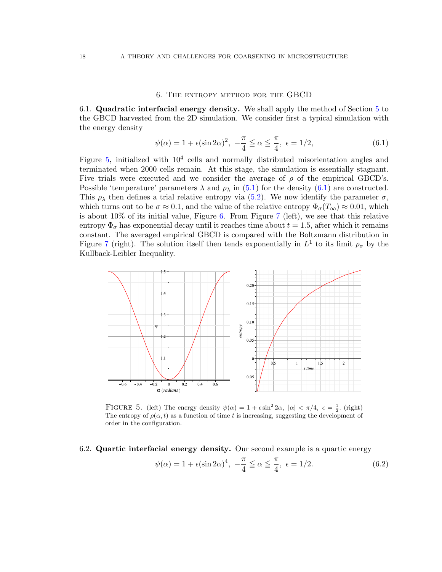## 6. The entropy method for the GBCD

<span id="page-17-1"></span><span id="page-17-0"></span>6.1. Quadratic interfacial energy density. We shall apply the method of Section [5](#page-14-0) to the GBCD harvested from the 2D simulation. We consider first a typical simulation with the energy density

<span id="page-17-4"></span>
$$
\psi(\alpha) = 1 + \epsilon(\sin 2\alpha)^2, \ -\frac{\pi}{4} \leqq \alpha \leqq \frac{\pi}{4}, \ \epsilon = 1/2, \tag{6.1}
$$

Figure [5,](#page-17-3) initialized with  $10^4$  cells and normally distributed misorientation angles and terminated when 2000 cells remain. At this stage, the simulation is essentially stagnant. Five trials were executed and we consider the average of  $\rho$  of the empirical GBCD's. Possible 'temperature' parameters  $\lambda$  and  $\rho_{\lambda}$  in [\(5.1\)](#page-14-5) for the density [\(6.1\)](#page-17-4) are constructed. This  $\rho_{\lambda}$  then defines a trial relative entropy via [\(5.2\)](#page-15-0). We now identify the parameter  $\sigma$ , which turns out to be  $\sigma \approx 0.1$ , and the value of the relative entropy  $\Phi_{\sigma}(T_{\infty}) \approx 0.01$ , which is about  $10\%$  of its initial value, Figure [6.](#page-18-0) From Figure [7](#page-18-1) (left), we see that this relative entropy  $\Phi_{\sigma}$  has exponential decay until it reaches time about  $t = 1.5$ , after which it remains constant. The averaged empirical GBCD is compared with the Boltzmann distribution in Figure [7](#page-18-1) (right). The solution itself then tends exponentially in  $L^1$  to its limit  $\rho_{\sigma}$  by the Kullback-Leibler Inequality.



<span id="page-17-3"></span>FIGURE 5. (left) The energy density  $\psi(\alpha) = 1 + \epsilon \sin^2 2\alpha$ ,  $|\alpha| < \pi/4$ ,  $\epsilon = \frac{1}{2}$ . (right) The entropy of  $\rho(\alpha, t)$  as a function of time t is increasing, suggesting the development of order in the configuration.

# <span id="page-17-2"></span>6.2. Quartic interfacial energy density. Our second example is a quartic energy

<span id="page-17-5"></span>
$$
\psi(\alpha) = 1 + \epsilon(\sin 2\alpha)^4, \ -\frac{\pi}{4} \leqq \alpha \leqq \frac{\pi}{4}, \ \epsilon = 1/2. \tag{6.2}
$$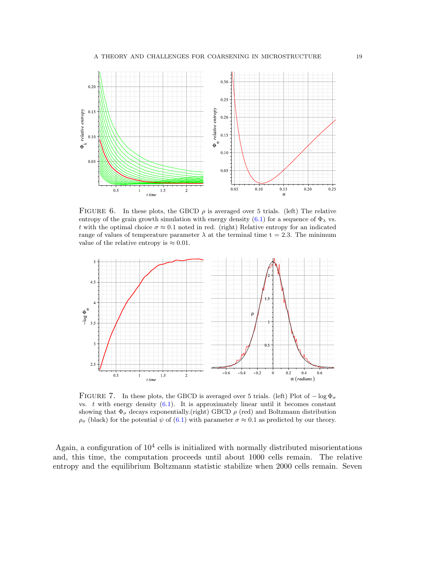

<span id="page-18-0"></span>FIGURE 6. In these plots, the GBCD  $\rho$  is averaged over 5 trials. (left) The relative entropy of the grain growth simulation with energy density [\(6.1\)](#page-17-4) for a sequence of  $\Phi_{\lambda}$  vs. t with the optimal choice  $\sigma \approx 0.1$  noted in red. (right) Relative entropy for an indicated range of values of temperature parameter  $\lambda$  at the terminal time t = 2.3. The minimum value of the relative entropy is  $\approx 0.01$ .



<span id="page-18-1"></span>FIGURE 7. In these plots, the GBCD is averaged over 5 trials. (left) Plot of  $-\log \Phi_{\sigma}$ vs.  $t$  with energy density  $(6.1)$ . It is approximately linear until it becomes constant showing that  $\Phi_{\sigma}$  decays exponentially.(right) GBCD  $\rho$  (red) and Boltzmann distribution  $\rho_{\sigma}$  (black) for the potential  $\psi$  of [\(6.1\)](#page-17-4) with parameter  $\sigma \approx 0.1$  as predicted by our theory.

Again, a configuration of  $10^4$  cells is initialized with normally distributed misorientations and, this time, the computation proceeds until about 1000 cells remain. The relative entropy and the equilibrium Boltzmann statistic stabilize when 2000 cells remain. Seven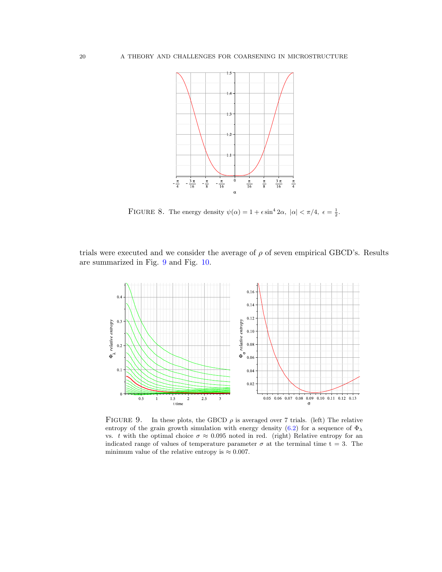

FIGURE 8. The energy density  $\psi(\alpha) = 1 + \epsilon \sin^4 2\alpha$ ,  $|\alpha| < \pi/4$ ,  $\epsilon = \frac{1}{2}$ .

trials were executed and we consider the average of  $\rho$  of seven empirical GBCD's. Results are summarized in Fig. [9](#page-19-0) and Fig. [10.](#page-20-2)



<span id="page-19-0"></span>FIGURE 9. In these plots, the GBCD  $\rho$  is averaged over 7 trials. (left) The relative entropy of the grain growth simulation with energy density [\(6.2\)](#page-17-5) for a sequence of  $\Phi_{\lambda}$ vs. t with the optimal choice  $\sigma \approx 0.095$  noted in red. (right) Relative entropy for an indicated range of values of temperature parameter  $\sigma$  at the terminal time  $t = 3$ . The minimum value of the relative entropy is  $\approx 0.007$ .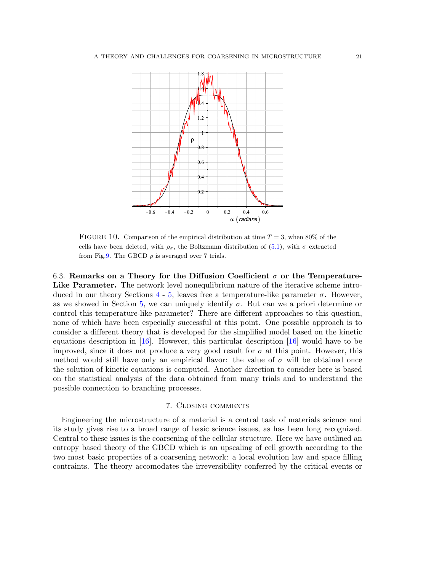![](_page_20_Figure_1.jpeg)

<span id="page-20-2"></span>FIGURE 10. Comparison of the empirical distribution at time  $T = 3$ , when 80% of the cells have been deleted, with  $\rho_{\sigma}$ , the Boltzmann distribution of [\(5.1\)](#page-14-5), with  $\sigma$  extracted from Fig[.9.](#page-19-0) The GBCD  $\rho$  is averaged over 7 trials.

<span id="page-20-0"></span>6.3. Remarks on a Theory for the Diffusion Coefficient  $\sigma$  or the Temperature-Like Parameter. The network level nonequilibrium nature of the iterative scheme intro-duced in our theory Sections [4](#page-8-0) - [5,](#page-14-0) leaves free a temperature-like parameter  $\sigma$ . However, as we showed in Section [5,](#page-14-0) we can uniquely identify  $\sigma$ . But can we a priori determine or control this temperature-like parameter? There are different approaches to this question, none of which have been especially successful at this point. One possible approach is to consider a different theory that is developed for the simplified model based on the kinetic equations description in  $[16]$ . However, this particular description  $[16]$  would have to be improved, since it does not produce a very good result for  $\sigma$  at this point. However, this method would still have only an empirical flavor: the value of  $\sigma$  will be obtained once the solution of kinetic equations is computed. Another direction to consider here is based on the statistical analysis of the data obtained from many trials and to understand the possible connection to branching processes.

## 7. Closing comments

<span id="page-20-1"></span>Engineering the microstructure of a material is a central task of materials science and its study gives rise to a broad range of basic science issues, as has been long recognized. Central to these issues is the coarsening of the cellular structure. Here we have outlined an entropy based theory of the GBCD which is an upscaling of cell growth according to the two most basic properties of a coarsening network: a local evolution law and space filling contraints. The theory accomodates the irreversibility conferred by the critical events or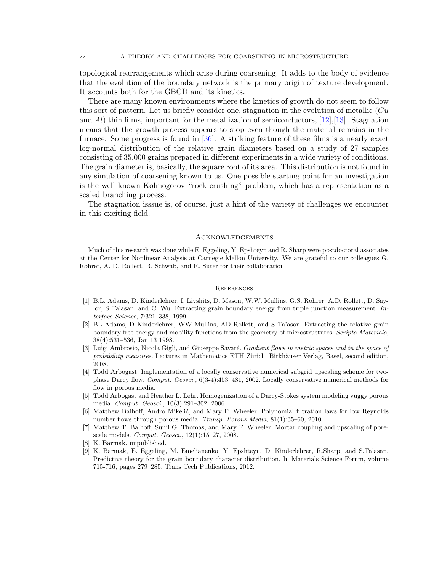topological rearrangements which arise during coarsening. It adds to the body of evidence that the evolution of the boundary network is the primary origin of texture development. It accounts both for the GBCD and its kinetics.

There are many known environments where the kinetics of growth do not seem to follow this sort of pattern. Let us briefly consider one, stagnation in the evolution of metallic  $Cu$ and  $Al$ ) thin films, important for the metallization of semiconductors, [\[12\]](#page-22-18), [\[13\]](#page-22-19). Stagnation means that the growth process appears to stop even though the material remains in the furnace. Some progress is found in [\[36\]](#page-23-21). A striking feature of these films is a nearly exact log-normal distribution of the relative grain diameters based on a study of 27 samples consisting of 35,000 grains prepared in different experiments in a wide variety of conditions. The grain diameter is, basically, the square root of its area. This distribution is not found in any simulation of coarsening known to us. One possible starting point for an investigation is the well known Kolmogorov "rock crushing" problem, which has a representation as a scaled branching process.

The stagnation isssue is, of course, just a hint of the variety of challenges we encounter in this exciting field.

## <span id="page-21-0"></span>**ACKNOWLEDGEMENTS**

Much of this research was done while E. Eggeling, Y. Epshteyn and R. Sharp were postdoctoral associates at the Center for Nonlinear Analysis at Carnegie Mellon University. We are grateful to our colleagues G. Rohrer, A. D. Rollett, R. Schwab, and R. Suter for their collaboration.

#### <span id="page-21-1"></span>**REFERENCES**

- <span id="page-21-3"></span>[1] B.L. Adams, D. Kinderlehrer, I. Livshits, D. Mason, W.W. Mullins, G.S. Rohrer, A.D. Rollett, D. Saylor, S Ta'asan, and C. Wu. Extracting grain boundary energy from triple junction measurement. Interface Science, 7:321–338, 1999.
- <span id="page-21-2"></span>[2] BL Adams, D Kinderlehrer, WW Mullins, AD Rollett, and S Ta'asan. Extracting the relative grain boundary free energy and mobility functions from the geometry of microstructures. Scripta Materiala, 38(4):531–536, Jan 13 1998.
- <span id="page-21-10"></span>[3] Luigi Ambrosio, Nicola Gigli, and Giuseppe Savaré. *Gradient flows in metric spaces and in the space of* probability measures. Lectures in Mathematics ETH Zürich. Birkhäuser Verlag, Basel, second edition, 2008.
- <span id="page-21-6"></span>[4] Todd Arbogast. Implementation of a locally conservative numerical subgrid upscaling scheme for twophase Darcy flow. Comput. Geosci., 6(3-4):453–481, 2002. Locally conservative numerical methods for flow in porous media.
- <span id="page-21-5"></span>[5] Todd Arbogast and Heather L. Lehr. Homogenization of a Darcy-Stokes system modeling vuggy porous media. Comput. Geosci., 10(3):291–302, 2006.
- <span id="page-21-8"></span>[6] Matthew Balhoff, Andro Mikelić, and Mary F. Wheeler. Polynomial filtration laws for low Reynolds number flows through porous media. Transp. Porous Media, 81(1):35–60, 2010.
- <span id="page-21-7"></span>[7] Matthew T. Balhoff, Sunil G. Thomas, and Mary F. Wheeler. Mortar coupling and upscaling of porescale models. Comput. Geosci., 12(1):15–27, 2008.
- <span id="page-21-9"></span>[8] K. Barmak. unpublished.
- <span id="page-21-4"></span>[9] K. Barmak, E. Eggeling, M. Emelianenko, Y. Epshteyn, D. Kinderlehrer, R.Sharp, and S.Ta'asan. Predictive theory for the grain boundary character distribution. In Materials Science Forum, volume 715-716, pages 279–285. Trans Tech Publications, 2012.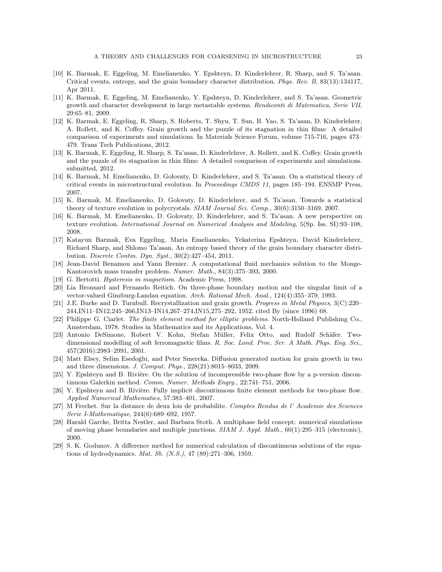- <span id="page-22-0"></span>[10] K. Barmak, E. Eggeling, M. Emelianenko, Y. Epshteyn, D. Kinderlehrer, R. Sharp, and S. Ta'asan. Critical events, entropy, and the grain boundary character distribution. Phys. Rev. B, 83(13):134117, Apr 2011.
- <span id="page-22-2"></span>[11] K. Barmak, E. Eggeling, M. Emelianenko, Y. Epshteyn, D. Kinderlehrer, and S. Ta'asan. Geometric growth and character development in large metastable systems. Rendiconti di Matematica, Serie VII, 29:65–81, 2009.
- <span id="page-22-18"></span>[12] K. Barmak, E. Eggeling, R. Sharp, S. Roberts, T. Shyu, T. Sun, B. Yao, S. Ta'asan, D. Kinderlehrer, A. Rollett, and K. Coffey. Grain growth and the puzzle of its stagnation in thin films: A detailed comparison of experiments and simulations. In Materials Science Forum, volume 715-716, pages 473– 479. Trans Tech Publications, 2012.
- <span id="page-22-19"></span>[13] K. Barmak, E. Eggeling, R. Sharp, S. Ta'asan, D. Kinderlehrer, A. Rollett, and K. Coffey. Grain growth and the puzzle of its stagnation in thin films: A detailed comparison of experiments and simulations. submitted, 2012.
- <span id="page-22-15"></span>[14] K. Barmak, M. Emelianenko, D. Golovaty, D. Kinderlehrer, and S. Ta'asan. On a statistical theory of critical events in microstructural evolution. In Proceedings CMDS 11, pages 185–194. ENSMP Press, 2007.
- <span id="page-22-13"></span>[15] K. Barmak, M. Emelianenko, D. Golovaty, D. Kinderlehrer, and S. Ta'asan. Towards a statistical theory of texture evolution in polycrystals. SIAM Journal Sci. Comp., 30(6):3150–3169, 2007.
- <span id="page-22-14"></span>[16] K. Barmak, M. Emelianenko, D. Golovaty, D. Kinderlehrer, and S. Ta'asan. A new perspective on texture evolution. International Journal on Numerical Analysis and Modeling, 5(Sp. Iss. SI):93–108, 2008.
- <span id="page-22-1"></span>[17] Katayun Barmak, Eva Eggeling, Maria Emelianenko, Yekaterina Epshteyn, David Kinderlehrer, Richard Sharp, and Shlomo Ta'asan. An entropy based theory of the grain boundary character distribution. Discrete Contin. Dyn. Syst., 30(2):427–454, 2011.
- <span id="page-22-16"></span>[18] Jean-David Benamou and Yann Brenier. A computational fluid mechanics solution to the Monge-Kantorovich mass transfer problem. Numer. Math., 84(3):375–393, 2000.
- <span id="page-22-8"></span>[19] G. Bertotti. Hysteresis in magnetism. Academic Press, 1998.
- <span id="page-22-9"></span>[20] Lia Bronsard and Fernando Reitich. On three-phase boundary motion and the singular limit of a vector-valued Ginzburg-Landau equation. Arch. Rational Mech. Anal., 124(4):355–379, 1993.
- <span id="page-22-10"></span>[21] J.E. Burke and D. Turnbull. Recrystallization and grain growth. Progress in Metal Physics, 3(C):220– 244,IN11–IN12,245–266,IN13–IN14,267–274,IN15,275–292, 1952. cited By (since 1996) 68.
- <span id="page-22-4"></span>[22] Philippe G. Ciarlet. The finite element method for elliptic problems. North-Holland Publishing Co., Amsterdam, 1978. Studies in Mathematics and its Applications, Vol. 4.
- <span id="page-22-7"></span>[23] Antonio DeSimone, Robert V. Kohn, Stefan Müller, Felix Otto, and Rudolf Schäfer. Twodimensional modelling of soft ferromagnetic films. R. Soc. Lond. Proc. Ser. A Math. Phys. Eng. Sci., 457(2016):2983–2991, 2001.
- <span id="page-22-11"></span>[24] Matt Elsey, Selim Esedoglu, and Peter Smereka. Diffusion generated motion for grain growth in two and three dimensions. J. Comput. Phys., 228(21):8015–8033, 2009.
- <span id="page-22-5"></span>[25] Y. Epshteyn and B. Rivière. On the solution of incompressible two-phase flow by a p-version discontinuous Galerkin method. Comm. Numer. Methods Engrg., 22:741–751, 2006.
- <span id="page-22-6"></span>[26] Y. Epshteyn and B. Rivière. Fully implicit discontinuous finite element methods for two-phase flow. Applied Numerical Mathematics, 57:383–401, 2007.
- <span id="page-22-17"></span>[27] M Frechet. Sur la distance de deux lois de probabilite. Comptes Rendus de l' Academie des Sciences Serie I-Mathematique, 244(6):689–692, 1957.
- <span id="page-22-12"></span>[28] Harald Garcke, Britta Nestler, and Barbara Stoth. A multiphase field concept: numerical simulations of moving phase boundaries and multiple junctions.  $SIAM J. Appl. Math., 60(1):295-315$  (electronic), 2000.
- <span id="page-22-3"></span>[29] S. K. Godunov. A difference method for numerical calculation of discontinuous solutions of the equations of hydrodynamics. Mat. Sb. (N.S.), 47 (89):271–306, 1959.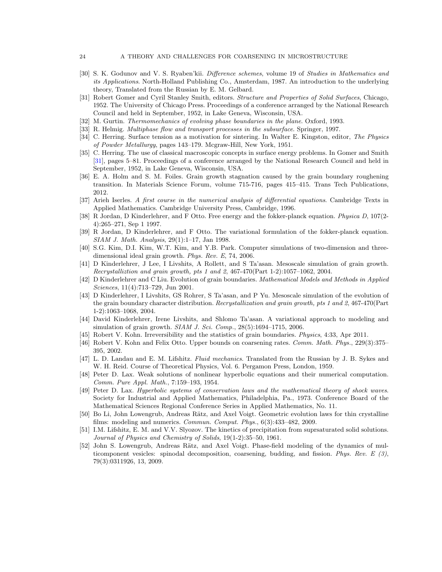- <span id="page-23-4"></span>[30] S. K. Godunov and V. S. Ryaben'kii. Difference schemes, volume 19 of Studies in Mathematics and its Applications. North-Holland Publishing Co., Amsterdam, 1987. An introduction to the underlying theory, Translated from the Russian by E. M. Gelbard.
- <span id="page-23-22"></span>[31] Robert Gomer and Cyril Stanley Smith, editors. Structure and Properties of Solid Surfaces, Chicago, 1952. The University of Chicago Press. Proceedings of a conference arranged by the National Research Council and held in September, 1952, in Lake Geneva, Wisconsin, USA.
- <span id="page-23-14"></span>[32] M. Gurtin. Thermomechanics of evolving phase boundaries in the plane. Oxford, 1993.
- <span id="page-23-8"></span>[33] R. Helmig. Multiphase flow and transport processes in the subsurface. Springer, 1997.
- <span id="page-23-10"></span>[34] C. Herring. Surface tension as a motivation for sintering. In Walter E. Kingston, editor, The Physics of Powder Metallurgy, pages 143–179. Mcgraw-Hill, New York, 1951.
- <span id="page-23-11"></span>[35] C. Herring. The use of classical macroscopic concepts in surface energy problems. In Gomer and Smith [\[31\]](#page-23-22), pages 5–81. Proceedings of a conference arranged by the National Research Council and held in September, 1952, in Lake Geneva, Wisconsin, USA.
- <span id="page-23-21"></span>[36] E. A. Holm and S. M. Foiles. Grain growth stagnation caused by the grain boundary roughening transition. In Materials Science Forum, volume 715-716, pages 415–415. Trans Tech Publications, 2012.
- <span id="page-23-19"></span>[37] Arieh Iserles. A first course in the numerical analysis of differential equations. Cambridge Texts in Applied Mathematics. Cambridge University Press, Cambridge, 1996.
- <span id="page-23-13"></span>[38] R Jordan, D Kinderlehrer, and F Otto. Free energy and the fokker-planck equation. Physica D, 107(2- 4):265–271, Sep 1 1997.
- <span id="page-23-12"></span>[39] R Jordan, D Kinderlehrer, and F Otto. The variational formulation of the fokker-planck equation. SIAM J. Math. Analysis, 29(1):1–17, Jan 1998.
- <span id="page-23-18"></span>[40] S.G. Kim, D.I. Kim, W.T. Kim, and Y.B. Park. Computer simulations of two-dimension and threedimensional ideal grain growth. Phys. Rev. E, 74, 2006.
- <span id="page-23-17"></span>[41] D Kinderlehrer, J Lee, I Livshits, A Rollett, and S Ta'asan. Mesoscale simulation of grain growth. Recrystalliztion and grain growth, pts 1 and 2, 467-470(Part 1-2):1057–1062, 2004.
- <span id="page-23-15"></span>[42] D Kinderlehrer and C Liu. Evolution of grain boundaries. Mathematical Models and Methods in Applied Sciences, 11(4):713–729, Jun 2001.
- <span id="page-23-0"></span>[43] D Kinderlehrer, I Livshits, GS Rohrer, S Ta'asan, and P Yu. Mesoscale simulation of the evolution of the grain boundary character distribution. Recrystallization and grain growth, pts 1 and 2, 467-470(Part 1-2):1063–1068, 2004.
- <span id="page-23-16"></span>[44] David Kinderlehrer, Irene Livshits, and Shlomo Ta'asan. A variational approach to modeling and simulation of grain growth.  $SIAM$  J. Sci. Comp.,  $28(5):1694-1715$ , 2006.
- <span id="page-23-1"></span>[45] Robert V. Kohn. Irreversibility and the statistics of grain boundaries. Physics, 4:33, Apr 2011.
- <span id="page-23-5"></span>[46] Robert V. Kohn and Felix Otto. Upper bounds on coarsening rates. Comm. Math. Phys., 229(3):375– 395, 2002.
- <span id="page-23-20"></span>[47] L. D. Landau and E. M. Lifshitz. Fluid mechanics. Translated from the Russian by J. B. Sykes and W. H. Reid. Course of Theoretical Physics, Vol. 6. Pergamon Press, London, 1959.
- <span id="page-23-2"></span>[48] Peter D. Lax. Weak solutions of nonlinear hyperbolic equations and their numerical computation. Comm. Pure Appl. Math., 7:159–193, 1954.
- <span id="page-23-3"></span>[49] Peter D. Lax. Hyperbolic systems of conservation laws and the mathematical theory of shock waves. Society for Industrial and Applied Mathematics, Philadelphia, Pa., 1973. Conference Board of the Mathematical Sciences Regional Conference Series in Applied Mathematics, No. 11.
- <span id="page-23-6"></span>[50] Bo Li, John Lowengrub, Andreas Rätz, and Axel Voigt. Geometric evolution laws for thin crystalline films: modeling and numerics. Commun. Comput. Phys., 6(3):433–482, 2009.
- <span id="page-23-9"></span>[51] I.M. Lifshitz, E. M. and V.V. Slyozov. The kinetics of precipitation from suprsaturated solid solutions. Journal of Physics and Chemistry of Solids, 19(1-2):35–50, 1961.
- <span id="page-23-7"></span>[52] John S. Lowengrub, Andreas Rätz, and Axel Voigt. Phase-field modeling of the dynamics of multicomponent vesicles: spinodal decomposition, coarsening, budding, and fission. Phys. Rev. E  $(3)$ , 79(3):0311926, 13, 2009.